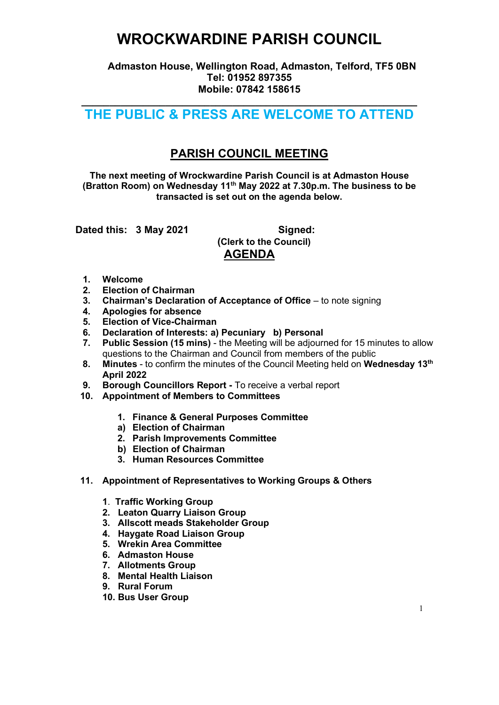## WROCKWARDINE PARISH COUNCIL

 Admaston House, Wellington Road, Admaston, Telford, TF5 0BN Tel: 01952 897355 Mobile: 07842 158615

### $\overline{\phantom{a}}$  , and the contribution of the contribution of the contribution of the contribution of the contribution of the contribution of the contribution of the contribution of the contribution of the contribution of the THE PUBLIC & PRESS ARE WELCOME TO ATTEND

### PARISH COUNCIL MEETING

The next meeting of Wrockwardine Parish Council is at Admaston House (Bratton Room) on Wednesday 11th May 2022 at 7.30p.m. The business to be transacted is set out on the agenda below.

Dated this: 3 May 2021 Signed:

 (Clerk to the Council) AGENDA

- 1. Welcome
- 2. Election of Chairman
- 3. Chairman's Declaration of Acceptance of Office to note signing
- 4. Apologies for absence
- 5. Election of Vice-Chairman
- 6. Declaration of Interests: a) Pecuniary b) Personal
- 7. Public Session (15 mins) the Meeting will be adjourned for 15 minutes to allow questions to the Chairman and Council from members of the public
- 8. Minutes to confirm the minutes of the Council Meeting held on Wednesday 13<sup>th</sup> April 2022
- 9. Borough Councillors Report To receive a verbal report
- 10. Appointment of Members to Committees
	- 1. Finance & General Purposes Committee
	- a) Election of Chairman
	- 2. Parish Improvements Committee
	- b) Election of Chairman
	- 3. Human Resources Committee
- 11. Appointment of Representatives to Working Groups & Others
	- 1. Traffic Working Group
	- 2. Leaton Quarry Liaison Group
	- 3. Allscott meads Stakeholder Group
	- 4. Haygate Road Liaison Group
	- 5. Wrekin Area Committee
	- 6. Admaston House
	- 7. Allotments Group
	- 8. Mental Health Liaison
	- 9. Rural Forum
	- 10. Bus User Group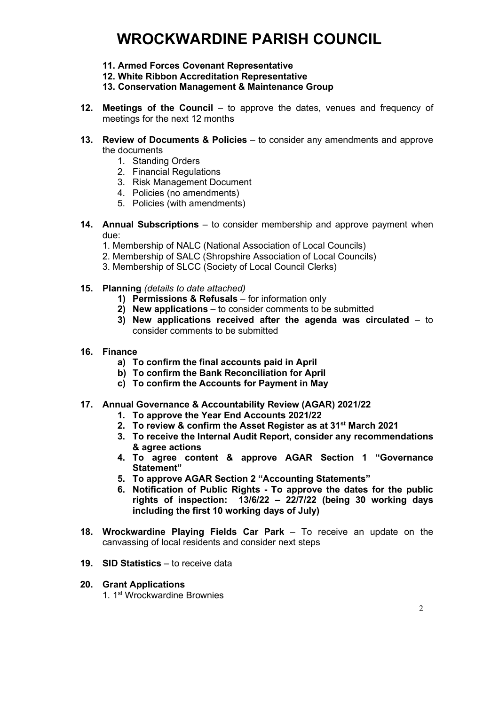# WROCKWARDINE PARISH COUNCIL

- 11. Armed Forces Covenant Representative
- 12. White Ribbon Accreditation Representative
- 13. Conservation Management & Maintenance Group
- 12. Meetings of the Council to approve the dates, venues and frequency of meetings for the next 12 months
- 13. Review of Documents & Policies to consider any amendments and approve the documents
	- 1. Standing Orders
	- 2. Financial Regulations
	- 3. Risk Management Document
	- 4. Policies (no amendments)
	- 5. Policies (with amendments)
- 14. Annual Subscriptions to consider membership and approve payment when due:
	- 1. Membership of NALC (National Association of Local Councils)
	- 2. Membership of SALC (Shropshire Association of Local Councils)
	- 3. Membership of SLCC (Society of Local Council Clerks)
- 15. Planning (details to date attached)
	- 1) Permissions & Refusals for information only
	- 2) New applications to consider comments to be submitted
	- 3) New applications received after the agenda was circulated to consider comments to be submitted
- 16. Finance
	- a) To confirm the final accounts paid in April
	- b) To confirm the Bank Reconciliation for April
	- c) To confirm the Accounts for Payment in May
- 17. Annual Governance & Accountability Review (AGAR) 2021/22
	- 1. To approve the Year End Accounts 2021/22
	- 2. To review & confirm the Asset Register as at 31<sup>st</sup> March 2021
	- 3. To receive the Internal Audit Report, consider any recommendations & agree actions
	- 4. To agree content & approve AGAR Section 1 "Governance Statement"
	- 5. To approve AGAR Section 2 "Accounting Statements"
	- 6. Notification of Public Rights To approve the dates for the public rights of inspection: 13/6/22 – 22/7/22 (being 30 working days including the first 10 working days of July)
- 18. Wrockwardine Playing Fields Car Park To receive an update on the canvassing of local residents and consider next steps
- 19. SID Statistics to receive data

#### 20. Grant Applications

1. 1st Wrockwardine Brownies